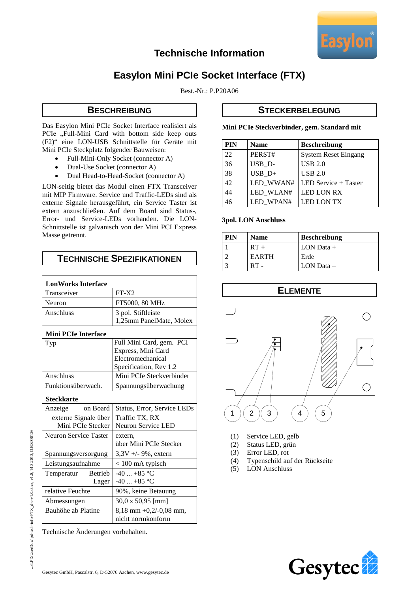

## **Technische Information**

# **Easylon Mini PCIe Socket Interface (FTX)**

Best.-Nr.: P.P20A06

### **BESCHREIBUNG**

Das Easylon Mini PCIe Socket Interface realisiert als PCIe "Full-Mini Card with bottom side keep outs (F2)" eine LON-USB Schnittstelle für Geräte mit Mini PCIe Steckplatz folgender Bauweisen:

- Full-Mini-Only Socket (connector A)
- Dual-Use Socket (connector A)
- Dual Head-to-Head-Socket (connector A)

LON-seitig bietet das Modul einen FTX Transceiver mit MIP Firmware. Service und Traffic-LEDs sind als externe Signale herausgeführt, ein Service Taster ist extern anzuschließen. Auf dem Board sind Status-, Error- und Service-LEDs vorhanden. Die LON-Schnittstelle ist galvanisch von der Mini PCI Express Masse getrennt.

## **TECHNISCHE SPEZIFIKATIONEN**

| <b>LonWorks Interface</b>    |                             |
|------------------------------|-----------------------------|
| Transceiver                  | $FT-X2$                     |
| Neuron                       | FT5000, 80 MHz              |
| Anschluss                    | 3 pol. Stiftleiste          |
|                              | 1,25mm PanelMate, Molex     |
| <b>Mini PCIe Interface</b>   |                             |
| Typ                          | Full Mini Card, gem. PCI    |
|                              | Express, Mini Card          |
|                              | Electromechanical           |
|                              | Specification, Rev 1.2      |
| Anschluss                    | Mini PCIe Steckverbinder    |
| Funktionsüberwach.           | Spannungsüberwachung        |
| <b>Steckkarte</b>            |                             |
| Anzeige on Board             | Status, Error, Service LEDs |
| externe Signale über         | Traffic TX, RX              |
| Mini PCIe Stecker            | Neuron Service LED          |
| Neuron Service Taster        | extern.                     |
|                              | über Mini PCIe Stecker      |
| Spannungsversorgung          | $3,3V + -9\%$ , extern      |
| Leistungsaufnahme            | $< 100$ mA typisch          |
| Temperatur<br><b>Betrieb</b> | $-40$ $+85$ °C              |
| Lager                        | $-40+85$ °C                 |
| relative Feuchte             | 90%, keine Betauung         |
| Abmessungen                  | $30,0 \times 50,95$ [mm]    |
| Bauhöhe ab Platine           | $8,18$ mm $+0,2/-0,08$ mm,  |
|                              | nicht normkonform           |

Technische Änderungen vorbehalten.

#### **STECKERBELEGUNG**

**Mini PCIe Steckverbinder, gem. Standard mit**

| <b>PIN</b> | <b>Name</b> | <b>Beschreibung</b>         |
|------------|-------------|-----------------------------|
| 22         | PERST#      | <b>System Reset Eingang</b> |
| 36         | USB D-      | USB 2.0                     |
| 38         | $USB_D+$    | $USB 2.0$                   |
| 42         | LED_WWAN#   | LED Service + Taster        |
| 44         | LED WLAN#   | LED LON RX                  |
| 46         | LED WPAN#   | <b>LED LON TX</b>           |

#### **3pol. LON Anschluss**

| PIN | <b>Name</b>  | <b>Beschreibung</b> |
|-----|--------------|---------------------|
|     | $RT +$       | LON Data $+$        |
|     | <b>EARTH</b> | Erde                |
|     | $RT -$       | LON Data $-$        |

**ELEMENTE**



- (1) Service LED, gelb
- (2) Status LED, grün
- (3) Error LED, rot
- (4) Typenschild auf der Rückseite
- (5) LON Anschluss